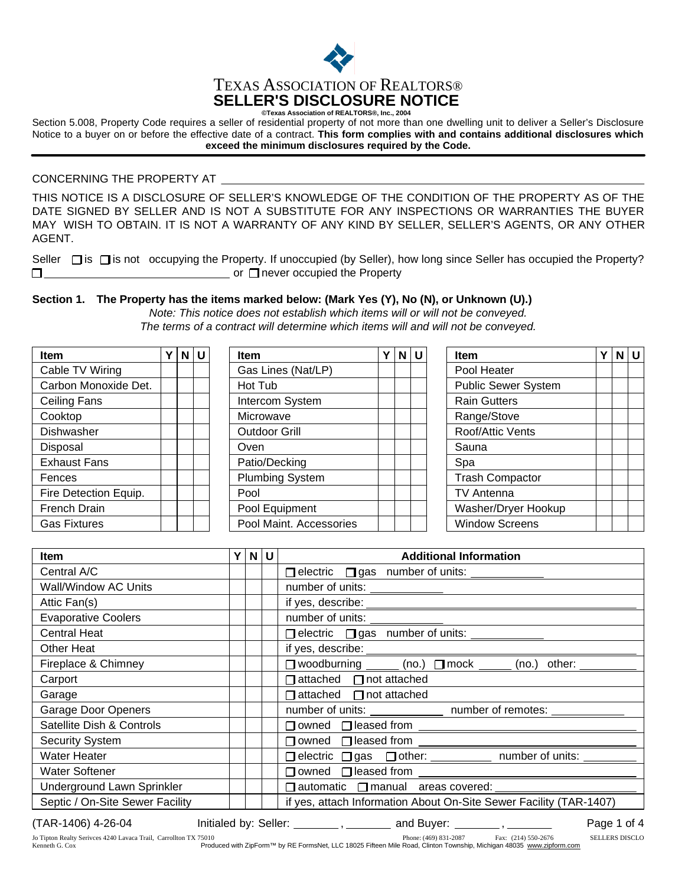

Section 5.008, Property Code requires a seller of residential property of not more than one dwelling unit to deliver a Seller's Disclosure Notice to a buyer on or before the effective date of a contract. **This form complies with and contains additional disclosures which exceed the minimum disclosures required by the Code.**

### CONCERNING THE PROPERTY AT

THIS NOTICE IS A DISCLOSURE OF SELLER'S KNOWLEDGE OF THE CONDITION OF THE PROPERTY AS OF THE MAY WISH TO OBTAIN. IT IS NOT A WARRANTY OF ANY KIND BY SELLER, SELLER'S AGENTS, OR ANY OTHER AGENT. DATE SIGNED BY SELLER AND IS NOT A SUBSTITUTE FOR ANY INSPECTIONS OR WARRANTIES THE BUYER

Seller  $\Box$  is  $\Box$  is not occupying the Property. If unoccupied (by Seller), how long since Seller has occupied the Property? or  $\Box$  never occupied the Property  $\Box$ 

### **The Property has the items marked below: (Mark Yes (Y), No (N), or Unknown (U).) Section 1.**

*Note: This notice does not establish which items will or will not be conveyed.*

*The terms of a contract will determine which items will and will not be conveyed.*

| <b>Item</b>           | v | $N$ U | <b>Item</b>             | Υ | $N$ $U$ | Y<br><b>Item</b>       | $N$ $U$ |
|-----------------------|---|-------|-------------------------|---|---------|------------------------|---------|
| Cable TV Wiring       |   |       | Gas Lines (Nat/LP)      |   |         | Pool Heater            |         |
| Carbon Monoxide Det.  |   |       | Hot Tub                 |   |         | Public Sewer System    |         |
| Ceiling Fans          |   |       | Intercom System         |   |         | <b>Rain Gutters</b>    |         |
| Cooktop               |   |       | Microwave               |   |         | Range/Stove            |         |
| Dishwasher            |   |       | <b>Outdoor Grill</b>    |   |         | Roof/Attic Vents       |         |
| Disposal              |   |       | Oven                    |   |         | Sauna                  |         |
| <b>Exhaust Fans</b>   |   |       | Patio/Decking           |   |         | Spa                    |         |
| Fences                |   |       | <b>Plumbing System</b>  |   |         | <b>Trash Compactor</b> |         |
| Fire Detection Equip. |   |       | Pool                    |   |         | <b>TV Antenna</b>      |         |
| French Drain          |   |       | Pool Equipment          |   |         | Washer/Dryer Hookup    |         |
| <b>Gas Fixtures</b>   |   |       | Pool Maint. Accessories |   |         | <b>Window Screens</b>  |         |

| <b>Item</b>                     | Y | $\vert$ N $\vert$ U $\vert$ | <b>Additional Information</b>                                      |  |  |  |  |
|---------------------------------|---|-----------------------------|--------------------------------------------------------------------|--|--|--|--|
| Central A/C                     |   |                             | □ electric □ gas number of units: <u>_________</u>                 |  |  |  |  |
| Wall/Window AC Units            |   |                             |                                                                    |  |  |  |  |
| Attic Fan(s)                    |   |                             |                                                                    |  |  |  |  |
| <b>Evaporative Coolers</b>      |   |                             |                                                                    |  |  |  |  |
| <b>Central Heat</b>             |   |                             | □ electric □ gas number of units: <u>_________</u>                 |  |  |  |  |
| Other Heat                      |   |                             |                                                                    |  |  |  |  |
| Fireplace & Chimney             |   |                             | □ woodburning ______ (no.) □ mock ______ (no.) other: _______      |  |  |  |  |
| Carport                         |   |                             | $\Box$ attached $\Box$ not attached                                |  |  |  |  |
| Garage                          |   |                             | $\Box$ attached $\Box$ not attached                                |  |  |  |  |
| <b>Garage Door Openers</b>      |   |                             | number of units: _______________ number of remotes: ______________ |  |  |  |  |
| Satellite Dish & Controls       |   |                             | □ owned □ leased from <u>_______________________________</u>       |  |  |  |  |
| <b>Security System</b>          |   |                             | □ owned □ leased from <u>__________________</u>                    |  |  |  |  |
| Water Heater                    |   |                             | □ electric □ gas □ other: ___________ number of units: _______     |  |  |  |  |
| <b>Water Softener</b>           |   |                             | $\Box$ owned $\Box$ leased from                                    |  |  |  |  |
| Underground Lawn Sprinkler      |   |                             | □ automatic □ manual areas covered: _________                      |  |  |  |  |
| Septic / On-Site Sewer Facility |   |                             | if yes, attach Information About On-Site Sewer Facility (TAR-1407) |  |  |  |  |

Phone: (469) 831-2087 Fax: (214) 550-2676 Produced with ZipForm™ by RE FormsNet, LLC 18025 Fifteen Mile Road, Clinton Township, Michigan 48035 www.zipform.com Jo Tipton Realty Serivces 4240 Lavaca Trail, Carrollton TX 75010 (469) 831-2087 (214) 550-2676 SELLERS DISCLO Kenneth G. Cox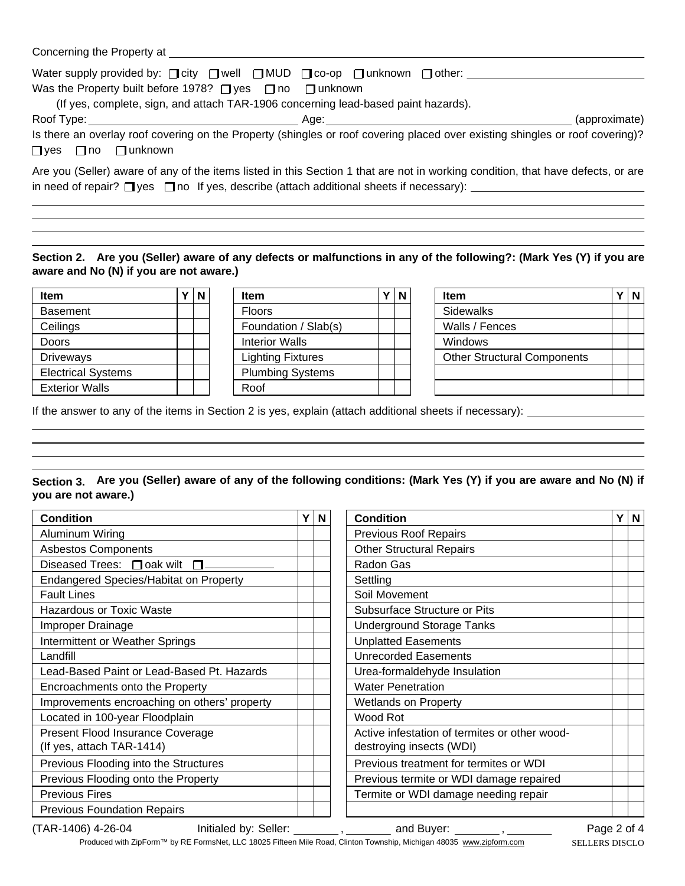| Concerning the Property at |  |  |  |  |
|----------------------------|--|--|--|--|
|----------------------------|--|--|--|--|

| Water supply provided by: $\Box$ city $\Box$ well $\Box$ MUD $\Box$ co-op $\Box$ unknown $\Box$ other:<br>Was the Property built before 1978? $\Box$ yes $\Box$ no $\Box$ unknown<br>(If yes, complete, sign, and attach TAR-1906 concerning lead-based paint hazards). |                                                                                                                                                                                                                                       |
|-------------------------------------------------------------------------------------------------------------------------------------------------------------------------------------------------------------------------------------------------------------------------|---------------------------------------------------------------------------------------------------------------------------------------------------------------------------------------------------------------------------------------|
| $\Box$ yes $\Box$ no $\Box$ unknown                                                                                                                                                                                                                                     | (approximate)<br>Is there an overlay roof covering on the Property (shingles or roof covering placed over existing shingles or roof covering)?                                                                                        |
|                                                                                                                                                                                                                                                                         | Are you (Seller) aware of any of the items listed in this Section 1 that are not in working condition, that have defects, or are<br>in need of repair? $\Box$ yes $\Box$ no If yes, describe (attach additional sheets if necessary): |

# **Are you (Seller) aware of any defects or malfunctions in any of the following?: (Mark Yes (Y) if you are Section 2. aware and No (N) if you are not aware.)**

| <b>Item</b>               |  |
|---------------------------|--|
| <b>Basement</b>           |  |
| Ceilings                  |  |
| Doors                     |  |
| <b>Driveways</b>          |  |
| <b>Electrical Systems</b> |  |
| <b>Exterior Walls</b>     |  |

| N | <b>Item</b>              |  |
|---|--------------------------|--|
|   | <b>Floors</b>            |  |
|   | Foundation / Slab(s)     |  |
|   | <b>Interior Walls</b>    |  |
|   | <b>Lighting Fixtures</b> |  |
|   | <b>Plumbing Systems</b>  |  |
|   | Roof                     |  |
|   |                          |  |

| <b>Item</b>                        |  |
|------------------------------------|--|
| Sidewalks                          |  |
| Walls / Fences                     |  |
| Windows                            |  |
| <b>Other Structural Components</b> |  |
|                                    |  |
|                                    |  |

If the answer to any of the items in Section 2 is yes, explain (attach additional sheets if necessary):

## **Section 3. Are you (Seller) aware of any of the following conditions: (Mark Yes (Y) if you are aware and No (N) if you are not aware.)**

| <b>Condition</b>                                              |  | N | <b>Condition</b>                                                          | Υ | N |
|---------------------------------------------------------------|--|---|---------------------------------------------------------------------------|---|---|
| Aluminum Wiring                                               |  |   | <b>Previous Roof Repairs</b>                                              |   |   |
| <b>Asbestos Components</b>                                    |  |   | <b>Other Structural Repairs</b>                                           |   |   |
| Diseased Trees: $\Box$ oak wilt                               |  |   | Radon Gas                                                                 |   |   |
| <b>Endangered Species/Habitat on Property</b>                 |  |   | Settling                                                                  |   |   |
| <b>Fault Lines</b>                                            |  |   | Soil Movement                                                             |   |   |
| <b>Hazardous or Toxic Waste</b>                               |  |   | Subsurface Structure or Pits                                              |   |   |
| Improper Drainage                                             |  |   | <b>Underground Storage Tanks</b>                                          |   |   |
| Intermittent or Weather Springs                               |  |   | <b>Unplatted Easements</b>                                                |   |   |
| Landfill                                                      |  |   | <b>Unrecorded Easements</b>                                               |   |   |
| Lead-Based Paint or Lead-Based Pt. Hazards                    |  |   | Urea-formaldehyde Insulation                                              |   |   |
| Encroachments onto the Property                               |  |   | <b>Water Penetration</b>                                                  |   |   |
| Improvements encroaching on others' property                  |  |   | <b>Wetlands on Property</b>                                               |   |   |
| Located in 100-year Floodplain                                |  |   | Wood Rot                                                                  |   |   |
| Present Flood Insurance Coverage<br>(If yes, attach TAR-1414) |  |   | Active infestation of termites or other wood-<br>destroying insects (WDI) |   |   |
| Previous Flooding into the Structures                         |  |   | Previous treatment for termites or WDI                                    |   |   |
| Previous Flooding onto the Property                           |  |   | Previous termite or WDI damage repaired                                   |   |   |
| <b>Previous Fires</b>                                         |  |   | Termite or WDI damage needing repair                                      |   |   |
| <b>Previous Foundation Repairs</b>                            |  |   |                                                                           |   |   |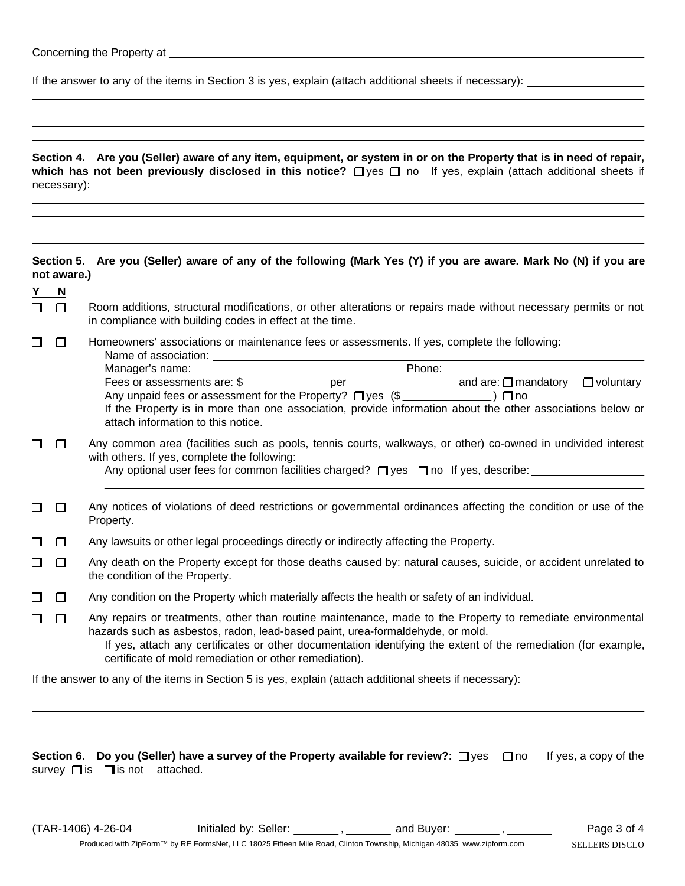| Concerning the Property at |  |
|----------------------------|--|
|----------------------------|--|

If the answer to any of the items in Section 3 is yes, explain (attach additional sheets if necessary):

|                                 |             | Section 4. Are you (Seller) aware of any item, equipment, or system in or on the Property that is in need of repair,<br>which has not been previously disclosed in this notice?<br>$\Box$ yes $\Box$ no If yes, explain (attach additional sheets if                                                                                                                     |
|---------------------------------|-------------|--------------------------------------------------------------------------------------------------------------------------------------------------------------------------------------------------------------------------------------------------------------------------------------------------------------------------------------------------------------------------|
|                                 | not aware.) | Section 5. Are you (Seller) aware of any of the following (Mark Yes (Y) if you are aware. Mark No (N) if you are                                                                                                                                                                                                                                                         |
| $\frac{Y}{\Box} \frac{N}{\Box}$ |             | Room additions, structural modifications, or other alterations or repairs made without necessary permits or not<br>in compliance with building codes in effect at the time.                                                                                                                                                                                              |
| $\Box$                          | $\Box$      | Homeowners' associations or maintenance fees or assessments. If yes, complete the following:<br>If the Property is in more than one association, provide information about the other associations below or<br>attach information to this notice.                                                                                                                         |
| □                               | $\Box$      | Any common area (facilities such as pools, tennis courts, walkways, or other) co-owned in undivided interest<br>with others. If yes, complete the following:<br>Any optional user fees for common facilities charged? [] yes [] no If yes, describe: _______________                                                                                                     |
| $\Box$                          | $\Box$      | Any notices of violations of deed restrictions or governmental ordinances affecting the condition or use of the<br>Property.                                                                                                                                                                                                                                             |
| $\Box$                          | $\Box$      | Any lawsuits or other legal proceedings directly or indirectly affecting the Property.                                                                                                                                                                                                                                                                                   |
| □                               | $\Box$      | Any death on the Property except for those deaths caused by: natural causes, suicide, or accident unrelated to<br>the condition of the Property.                                                                                                                                                                                                                         |
| $\Box$                          | $\Box$      | Any condition on the Property which materially affects the health or safety of an individual.                                                                                                                                                                                                                                                                            |
| □                               | $\Box$      | Any repairs or treatments, other than routine maintenance, made to the Property to remediate environmental<br>hazards such as asbestos, radon, lead-based paint, urea-formaldehyde, or mold.<br>If yes, attach any certificates or other documentation identifying the extent of the remediation (for example,<br>certificate of mold remediation or other remediation). |
|                                 |             |                                                                                                                                                                                                                                                                                                                                                                          |

**Section 6. Do you (Seller) have a survey of the Property available for review?:** □ yes □ no If yes, a copy of the survey  $\Box$  is  $\Box$  is not attached.